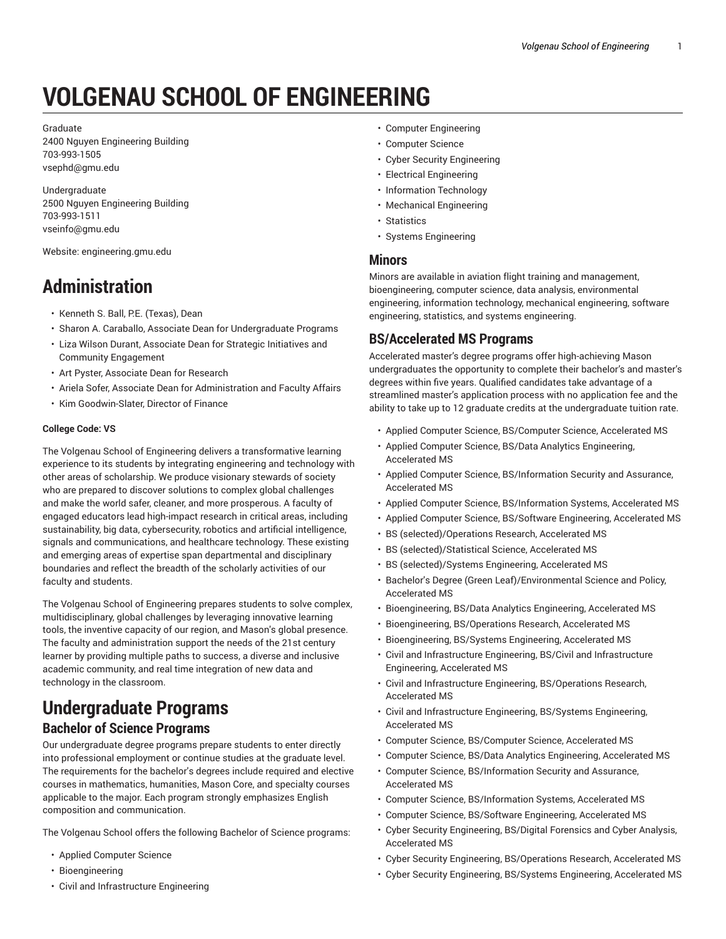# **VOLGENAU SCHOOL OF ENGINEERING**

Graduate 2400 Nguyen Engineering Building 703-993-1505 vsephd@gmu.edu

Undergraduate 2500 Nguyen Engineering Building 703-993-1511 vseinfo@gmu.edu

Website: engineering.gmu.edu

# **Administration**

- Kenneth S. Ball, P.E. (Texas), Dean
- Sharon A. Caraballo, Associate Dean for Undergraduate Programs
- Liza Wilson Durant, Associate Dean for Strategic Initiatives and Community Engagement
- Art Pyster, Associate Dean for Research
- Ariela Sofer, Associate Dean for Administration and Faculty Affairs
- Kim Goodwin-Slater, Director of Finance

#### **College Code: VS**

The Volgenau School of Engineering delivers a transformative learning experience to its students by integrating engineering and technology with other areas of scholarship. We produce visionary stewards of society who are prepared to discover solutions to complex global challenges and make the world safer, cleaner, and more prosperous. A faculty of engaged educators lead high-impact research in critical areas, including sustainability, big data, cybersecurity, robotics and artificial intelligence, signals and communications, and healthcare technology. These existing and emerging areas of expertise span departmental and disciplinary boundaries and reflect the breadth of the scholarly activities of our faculty and students.

The Volgenau School of Engineering prepares students to solve complex, multidisciplinary, global challenges by leveraging innovative learning tools, the inventive capacity of our region, and Mason's global presence. The faculty and administration support the needs of the 21st century learner by providing multiple paths to success, a diverse and inclusive academic community, and real time integration of new data and technology in the classroom.

# **Undergraduate Programs**

# **Bachelor of Science Programs**

Our undergraduate degree programs prepare students to enter directly into professional employment or continue studies at the graduate level. The requirements for the bachelor's degrees include required and elective courses in mathematics, humanities, Mason Core, and specialty courses applicable to the major. Each program strongly emphasizes English composition and communication.

The Volgenau School offers the following Bachelor of Science programs:

- Applied Computer Science
- Bioengineering
- Civil and Infrastructure Engineering
- Computer Engineering
- Computer Science
- Cyber Security Engineering
- Electrical Engineering
- Information Technology
- Mechanical Engineering
- Statistics
- Systems Engineering

#### **Minors**

Minors are available in aviation flight training and management, bioengineering, computer science, data analysis, environmental engineering, information technology, mechanical engineering, software engineering, statistics, and systems engineering.

### **BS/Accelerated MS Programs**

Accelerated master's degree programs offer high-achieving Mason undergraduates the opportunity to complete their bachelor's and master's degrees within five years. Qualified candidates take advantage of a streamlined master's application process with no application fee and the ability to take up to 12 graduate credits at the undergraduate tuition rate.

- Applied Computer Science, BS/Computer Science, Accelerated MS
- Applied Computer Science, BS/Data Analytics Engineering, Accelerated MS
- Applied Computer Science, BS/Information Security and Assurance, Accelerated MS
- Applied Computer Science, BS/Information Systems, Accelerated MS
- Applied Computer Science, BS/Software Engineering, Accelerated MS
- BS (selected)/Operations Research, Accelerated MS
- BS (selected)/Statistical Science, Accelerated MS
- BS (selected)/Systems Engineering, Accelerated MS
- Bachelor's Degree (Green Leaf)/Environmental Science and Policy, Accelerated MS
- Bioengineering, BS/Data Analytics Engineering, Accelerated MS
- Bioengineering, BS/Operations Research, Accelerated MS
- Bioengineering, BS/Systems Engineering, Accelerated MS
- Civil and Infrastructure Engineering, BS/Civil and Infrastructure Engineering, Accelerated MS
- Civil and Infrastructure Engineering, BS/Operations Research, Accelerated MS
- Civil and Infrastructure Engineering, BS/Systems Engineering, Accelerated MS
- Computer Science, BS/Computer Science, Accelerated MS
- Computer Science, BS/Data Analytics Engineering, Accelerated MS
- Computer Science, BS/Information Security and Assurance, Accelerated MS
- Computer Science, BS/Information Systems, Accelerated MS
- Computer Science, BS/Software Engineering, Accelerated MS
- Cyber Security Engineering, BS/Digital Forensics and Cyber Analysis, Accelerated MS
- Cyber Security Engineering, BS/Operations Research, Accelerated MS
- Cyber Security Engineering, BS/Systems Engineering, Accelerated MS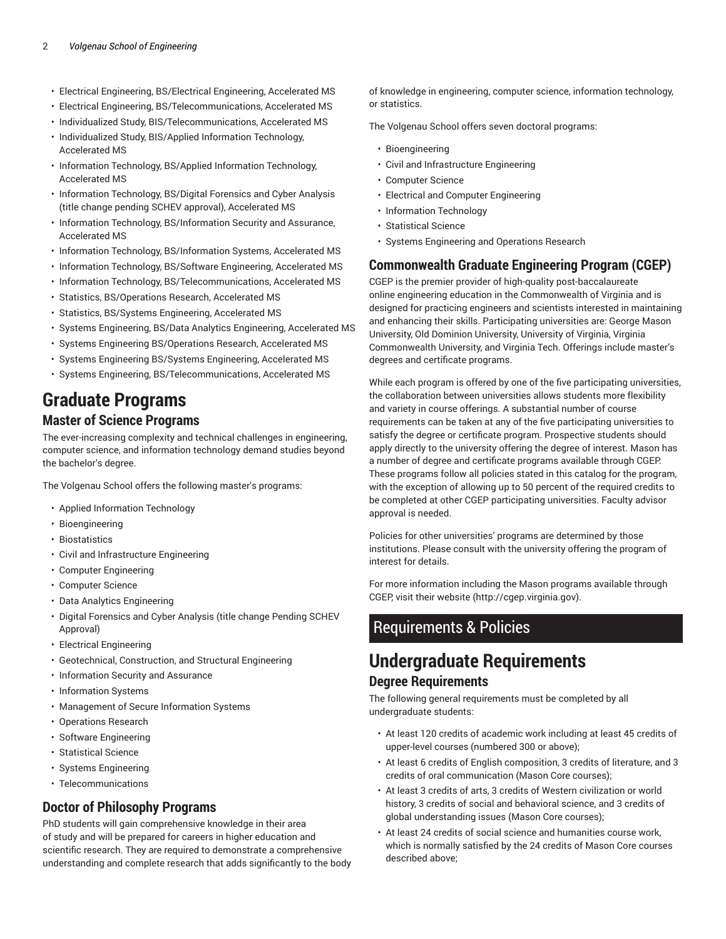- Electrical Engineering, BS/Electrical Engineering, Accelerated MS
- Electrical Engineering, BS/Telecommunications, Accelerated MS
- Individualized Study, BIS/Telecommunications, Accelerated MS
- Individualized Study, BIS/Applied Information Technology, Accelerated MS
- Information Technology, BS/Applied Information Technology, Accelerated MS
- Information Technology, BS/Digital Forensics and Cyber Analysis (title change pending SCHEV approval), Accelerated MS
- Information Technology, BS/Information Security and Assurance, Accelerated MS
- Information Technology, BS/Information Systems, Accelerated MS
- Information Technology, BS/Software Engineering, Accelerated MS
- Information Technology, BS/Telecommunications, Accelerated MS
- Statistics, BS/Operations Research, Accelerated MS
- Statistics, BS/Systems Engineering, Accelerated MS
- Systems Engineering, BS/Data Analytics Engineering, Accelerated MS
- Systems Engineering BS/Operations Research, Accelerated MS
- Systems Engineering BS/Systems Engineering, Accelerated MS
- Systems Engineering, BS/Telecommunications, Accelerated MS

# **Graduate Programs**

# **Master of Science Programs**

The ever-increasing complexity and technical challenges in engineering, computer science, and information technology demand studies beyond the bachelor's degree.

The Volgenau School offers the following master's programs:

- Applied Information Technology
- Bioengineering
- Biostatistics
- Civil and Infrastructure Engineering
- Computer Engineering
- Computer Science
- Data Analytics Engineering
- Digital Forensics and Cyber Analysis (title change Pending SCHEV Approval)
- Electrical Engineering
- Geotechnical, Construction, and Structural Engineering
- Information Security and Assurance
- Information Systems
- Management of Secure Information Systems
- Operations Research
- Software Engineering
- Statistical Science
- Systems Engineering
- Telecommunications

# **Doctor of Philosophy Programs**

PhD students will gain comprehensive knowledge in their area of study and will be prepared for careers in higher education and scientific research. They are required to demonstrate a comprehensive understanding and complete research that adds significantly to the body

of knowledge in engineering, computer science, information technology, or statistics.

The Volgenau School offers seven doctoral programs:

- Bioengineering
- Civil and Infrastructure Engineering
- Computer Science
- Electrical and Computer Engineering
- Information Technology
- Statistical Science
- Systems Engineering and Operations Research

# **Commonwealth Graduate Engineering Program (CGEP)**

CGEP is the premier provider of high-quality post-baccalaureate online engineering education in the Commonwealth of Virginia and is designed for practicing engineers and scientists interested in maintaining and enhancing their skills. Participating universities are: George Mason University, Old Dominion University, University of Virginia, Virginia Commonwealth University, and Virginia Tech. Offerings include master's degrees and certificate programs.

While each program is offered by one of the five participating universities, the collaboration between universities allows students more flexibility and variety in course offerings. A substantial number of course requirements can be taken at any of the five participating universities to satisfy the degree or certificate program. Prospective students should apply directly to the university offering the degree of interest. Mason has a number of degree and certificate programs available through CGEP. These programs follow all policies stated in this catalog for the program, with the exception of allowing up to 50 percent of the required credits to be completed at other CGEP participating universities. Faculty advisor approval is needed.

Policies for other universities' programs are determined by those institutions. Please consult with the university offering the program of interest for details.

For more information including the Mason programs available through CGEP, visit their website (http://cgep.virginia.gov).

# Requirements & Policies

# **Undergraduate Requirements Degree Requirements**

The following general requirements must be completed by all undergraduate students:

- At least 120 credits of academic work including at least 45 credits of upper-level courses (numbered 300 or above);
- At least 6 credits of English composition, 3 credits of literature, and 3 credits of oral communication (Mason Core courses);
- At least 3 credits of arts, 3 credits of Western civilization or world history, 3 credits of social and behavioral science, and 3 credits of global understanding issues (Mason Core courses);
- At least 24 credits of social science and humanities course work, which is normally satisfied by the 24 credits of Mason Core courses described above;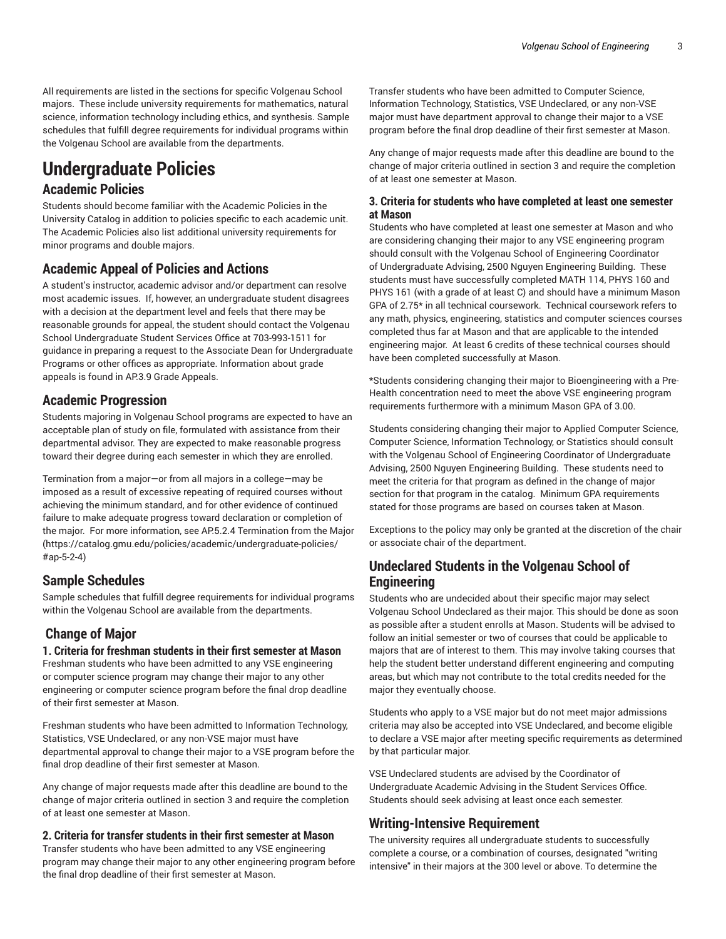All requirements are listed in the sections for specific Volgenau School majors. These include university requirements for mathematics, natural science, information technology including ethics, and synthesis. Sample schedules that fulfill degree requirements for individual programs within the Volgenau School are available from the departments.

# **Undergraduate Policies**

### **Academic Policies**

Students should become familiar with the Academic Policies in the University Catalog in addition to policies specific to each academic unit. The Academic Policies also list additional university requirements for minor programs and double majors.

## **Academic Appeal of Policies and Actions**

A student's instructor, academic advisor and/or department can resolve most academic issues. If, however, an undergraduate student disagrees with a decision at the department level and feels that there may be reasonable grounds for appeal, the student should contact the Volgenau School Undergraduate Student Services Office at 703-993-1511 for guidance in preparing a request to the Associate Dean for Undergraduate Programs or other offices as appropriate. Information about grade appeals is found in AP.3.9 Grade Appeals.

## **Academic Progression**

Students majoring in Volgenau School programs are expected to have an acceptable plan of study on file, formulated with assistance from their departmental advisor. They are expected to make reasonable progress toward their degree during each semester in which they are enrolled.

Termination from a major—or from all majors in a college—may be imposed as a result of excessive repeating of required courses without achieving the minimum standard, and for other evidence of continued failure to make adequate progress toward declaration or completion of the major. For more information, see AP.5.2.4 Termination from the Major (https://catalog.gmu.edu/policies/academic/undergraduate-policies/ #ap-5-2-4)

## **Sample Schedules**

Sample schedules that fulfill degree requirements for individual programs within the Volgenau School are available from the departments.

## **Change of Major**

#### **1. Criteria for freshman students in their first semester at Mason**

Freshman students who have been admitted to any VSE engineering or computer science program may change their major to any other engineering or computer science program before the final drop deadline of their first semester at Mason.

Freshman students who have been admitted to Information Technology, Statistics, VSE Undeclared, or any non-VSE major must have departmental approval to change their major to a VSE program before the final drop deadline of their first semester at Mason.

Any change of major requests made after this deadline are bound to the change of major criteria outlined in section 3 and require the completion of at least one semester at Mason.

#### **2. Criteria for transfer students in their first semester at Mason**

Transfer students who have been admitted to any VSE engineering program may change their major to any other engineering program before the final drop deadline of their first semester at Mason.

Transfer students who have been admitted to Computer Science, Information Technology, Statistics, VSE Undeclared, or any non-VSE major must have department approval to change their major to a VSE program before the final drop deadline of their first semester at Mason.

Any change of major requests made after this deadline are bound to the change of major criteria outlined in section 3 and require the completion of at least one semester at Mason.

#### **3. Criteria for students who have completed at least one semester at Mason**

Students who have completed at least one semester at Mason and who are considering changing their major to any VSE engineering program should consult with the Volgenau School of Engineering Coordinator of Undergraduate Advising, 2500 Nguyen Engineering Building. These students must have successfully completed MATH 114, PHYS 160 and PHYS 161 (with a grade of at least C) and should have a minimum Mason GPA of 2.75\* in all technical coursework. Technical coursework refers to any math, physics, engineering, statistics and computer sciences courses completed thus far at Mason and that are applicable to the intended engineering major. At least 6 credits of these technical courses should have been completed successfully at Mason.

\*Students considering changing their major to Bioengineering with a Pre-Health concentration need to meet the above VSE engineering program requirements furthermore with a minimum Mason GPA of 3.00.

Students considering changing their major to Applied Computer Science, Computer Science, Information Technology, or Statistics should consult with the Volgenau School of Engineering Coordinator of Undergraduate Advising, 2500 Nguyen Engineering Building. These students need to meet the criteria for that program as defined in the change of major section for that program in the catalog. Minimum GPA requirements stated for those programs are based on courses taken at Mason.

Exceptions to the policy may only be granted at the discretion of the chair or associate chair of the department.

# **Undeclared Students in the Volgenau School of Engineering**

Students who are undecided about their specific major may select Volgenau School Undeclared as their major. This should be done as soon as possible after a student enrolls at Mason. Students will be advised to follow an initial semester or two of courses that could be applicable to majors that are of interest to them. This may involve taking courses that help the student better understand different engineering and computing areas, but which may not contribute to the total credits needed for the major they eventually choose.

Students who apply to a VSE major but do not meet major admissions criteria may also be accepted into VSE Undeclared, and become eligible to declare a VSE major after meeting specific requirements as determined by that particular major.

VSE Undeclared students are advised by the Coordinator of Undergraduate Academic Advising in the Student Services Office. Students should seek advising at least once each semester.

### **Writing-Intensive Requirement**

The university requires all undergraduate students to successfully complete a course, or a combination of courses, designated "writing intensive" in their majors at the 300 level or above. To determine the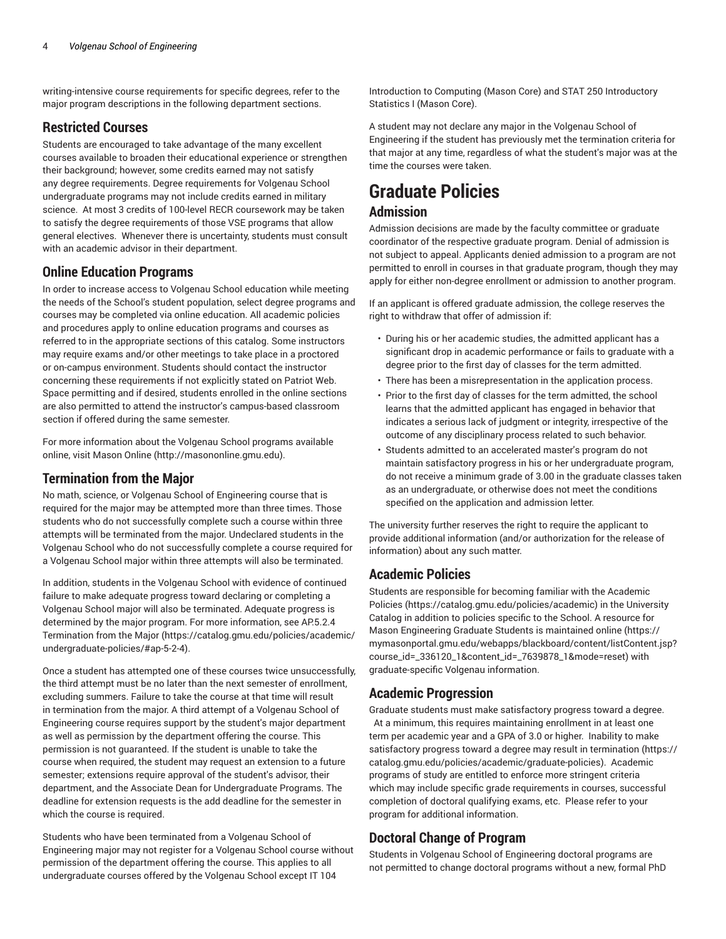writing-intensive course requirements for specific degrees, refer to the major program descriptions in the following department sections.

# **Restricted Courses**

Students are encouraged to take advantage of the many excellent courses available to broaden their educational experience or strengthen their background; however, some credits earned may not satisfy any degree requirements. Degree requirements for Volgenau School undergraduate programs may not include credits earned in military science. At most 3 credits of 100-level RECR coursework may be taken to satisfy the degree requirements of those VSE programs that allow general electives. Whenever there is uncertainty, students must consult with an academic advisor in their department.

## **Online Education Programs**

In order to increase access to Volgenau School education while meeting the needs of the School's student population, select degree programs and courses may be completed via online education. All academic policies and procedures apply to online education programs and courses as referred to in the appropriate sections of this catalog. Some instructors may require exams and/or other meetings to take place in a proctored or on-campus environment. Students should contact the instructor concerning these requirements if not explicitly stated on Patriot Web. Space permitting and if desired, students enrolled in the online sections are also permitted to attend the instructor's campus-based classroom section if offered during the same semester.

For more information about the Volgenau School programs available online, visit Mason Online (http://masononline.gmu.edu).

# **Termination from the Major**

No math, science, or Volgenau School of Engineering course that is required for the major may be attempted more than three times. Those students who do not successfully complete such a course within three attempts will be terminated from the major. Undeclared students in the Volgenau School who do not successfully complete a course required for a Volgenau School major within three attempts will also be terminated.

In addition, students in the Volgenau School with evidence of continued failure to make adequate progress toward declaring or completing a Volgenau School major will also be terminated. Adequate progress is determined by the major program. For more information, see AP.5.2.4 Termination from the Major (https://catalog.gmu.edu/policies/academic/ undergraduate-policies/#ap-5-2-4).

Once a student has attempted one of these courses twice unsuccessfully, the third attempt must be no later than the next semester of enrollment, excluding summers. Failure to take the course at that time will result in termination from the major. A third attempt of a Volgenau School of Engineering course requires support by the student's major department as well as permission by the department offering the course. This permission is not guaranteed. If the student is unable to take the course when required, the student may request an extension to a future semester; extensions require approval of the student's advisor, their department, and the Associate Dean for Undergraduate Programs. The deadline for extension requests is the add deadline for the semester in which the course is required.

Students who have been terminated from a Volgenau School of Engineering major may not register for a Volgenau School course without permission of the department offering the course. This applies to all undergraduate courses offered by the Volgenau School except IT 104

Introduction to Computing (Mason Core) and STAT 250 Introductory Statistics I (Mason Core).

A student may not declare any major in the Volgenau School of Engineering if the student has previously met the termination criteria for that major at any time, regardless of what the student's major was at the time the courses were taken.

# **Graduate Policies Admission**

Admission decisions are made by the faculty committee or graduate coordinator of the respective graduate program. Denial of admission is not subject to appeal. Applicants denied admission to a program are not permitted to enroll in courses in that graduate program, though they may apply for either non-degree enrollment or admission to another program.

If an applicant is offered graduate admission, the college reserves the right to withdraw that offer of admission if:

- During his or her academic studies, the admitted applicant has a significant drop in academic performance or fails to graduate with a degree prior to the first day of classes for the term admitted.
- There has been a misrepresentation in the application process.
- Prior to the first day of classes for the term admitted, the school learns that the admitted applicant has engaged in behavior that indicates a serious lack of judgment or integrity, irrespective of the outcome of any disciplinary process related to such behavior.
- Students admitted to an accelerated master's program do not maintain satisfactory progress in his or her undergraduate program, do not receive a minimum grade of 3.00 in the graduate classes taken as an undergraduate, or otherwise does not meet the conditions specified on the application and admission letter.

The university further reserves the right to require the applicant to provide additional information (and/or authorization for the release of information) about any such matter.

# **Academic Policies**

Students are responsible for becoming familiar with the Academic Policies (https://catalog.gmu.edu/policies/academic) in the University Catalog in addition to policies specific to the School. A resource for Mason Engineering Graduate Students is maintained online (https:// mymasonportal.gmu.edu/webapps/blackboard/content/listContent.jsp? course\_id=\_336120\_1&content\_id=\_7639878\_1&mode=reset) with graduate-specific Volgenau information.

# **Academic Progression**

Graduate students must make satisfactory progress toward a degree. At a minimum, this requires maintaining enrollment in at least one term per academic year and a GPA of 3.0 or higher. Inability to make satisfactory progress toward a degree may result in termination (https:// catalog.gmu.edu/policies/academic/graduate-policies). Academic programs of study are entitled to enforce more stringent criteria which may include specific grade requirements in courses, successful completion of doctoral qualifying exams, etc. Please refer to your program for additional information.

# **Doctoral Change of Program**

Students in Volgenau School of Engineering doctoral programs are not permitted to change doctoral programs without a new, formal PhD